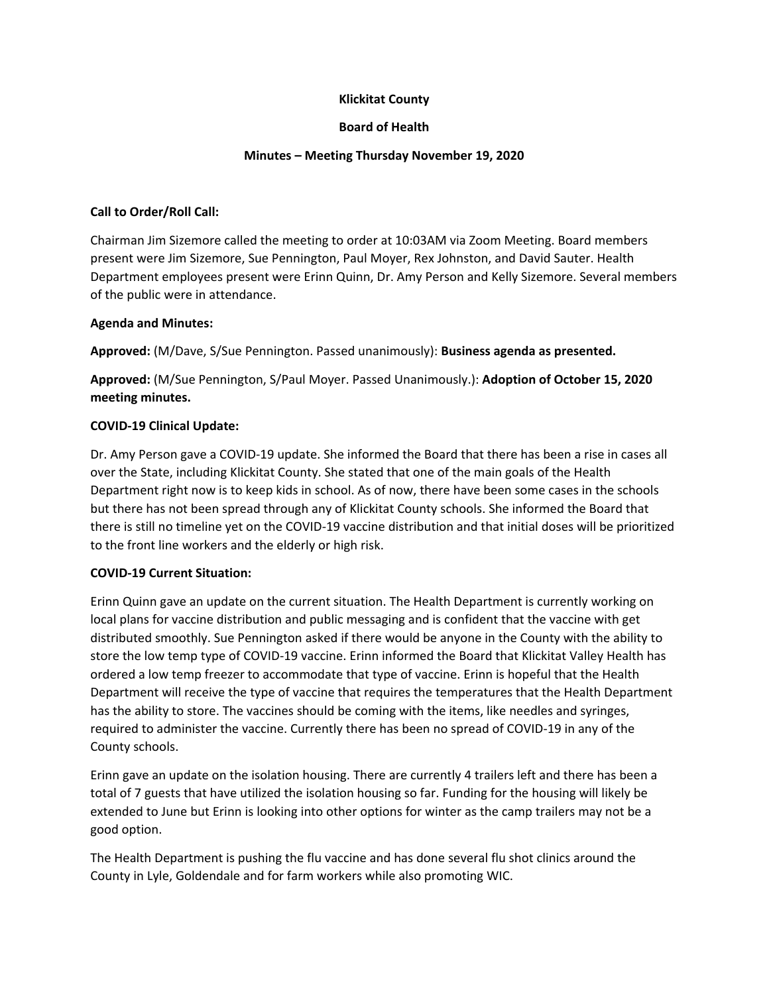## **Klickitat County**

## **Board of Health**

## **Minutes – Meeting Thursday November 19, 2020**

### **Call to Order/Roll Call:**

Chairman Jim Sizemore called the meeting to order at 10:03AM via Zoom Meeting. Board members present were Jim Sizemore, Sue Pennington, Paul Moyer, Rex Johnston, and David Sauter. Health Department employees present were Erinn Quinn, Dr. Amy Person and Kelly Sizemore. Several members of the public were in attendance.

#### **Agenda and Minutes:**

**Approved:** (M/Dave, S/Sue Pennington. Passed unanimously): **Business agenda as presented.**

**Approved:** (M/Sue Pennington, S/Paul Moyer. Passed Unanimously.): **Adoption of October 15, 2020 meeting minutes.**

### **COVID‐19 Clinical Update:**

Dr. Amy Person gave a COVID‐19 update. She informed the Board that there has been a rise in cases all over the State, including Klickitat County. She stated that one of the main goals of the Health Department right now is to keep kids in school. As of now, there have been some cases in the schools but there has not been spread through any of Klickitat County schools. She informed the Board that there is still no timeline yet on the COVID‐19 vaccine distribution and that initial doses will be prioritized to the front line workers and the elderly or high risk.

### **COVID‐19 Current Situation:**

Erinn Quinn gave an update on the current situation. The Health Department is currently working on local plans for vaccine distribution and public messaging and is confident that the vaccine with get distributed smoothly. Sue Pennington asked if there would be anyone in the County with the ability to store the low temp type of COVID‐19 vaccine. Erinn informed the Board that Klickitat Valley Health has ordered a low temp freezer to accommodate that type of vaccine. Erinn is hopeful that the Health Department will receive the type of vaccine that requires the temperatures that the Health Department has the ability to store. The vaccines should be coming with the items, like needles and syringes, required to administer the vaccine. Currently there has been no spread of COVID‐19 in any of the County schools.

Erinn gave an update on the isolation housing. There are currently 4 trailers left and there has been a total of 7 guests that have utilized the isolation housing so far. Funding for the housing will likely be extended to June but Erinn is looking into other options for winter as the camp trailers may not be a good option.

The Health Department is pushing the flu vaccine and has done several flu shot clinics around the County in Lyle, Goldendale and for farm workers while also promoting WIC.